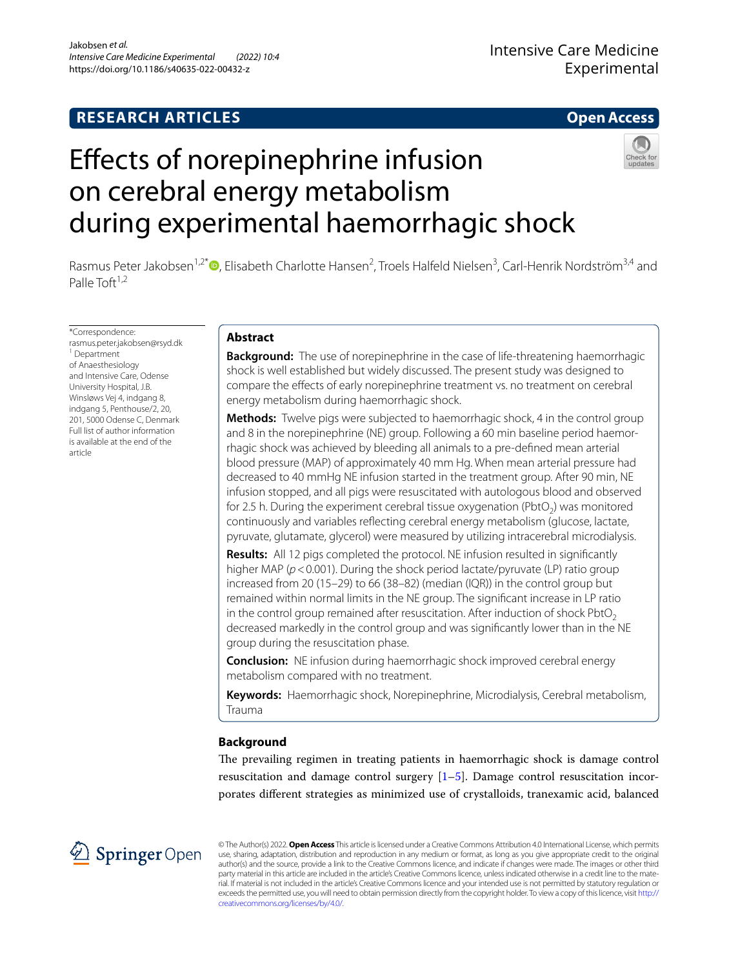# **RESEARCH ARTICLES**

## **Open Access**

# Efects of norepinephrine infusion on cerebral energy metabolism during experimental haemorrhagic shock



Rasmus Peter Jakobsen<sup>1[,](http://orcid.org/0000-0002-9114-2236)2\*</sup><sup>®</sup>, Elisabeth Charlotte Hansen<sup>2</sup>, Troels Halfeld Nielsen<sup>3</sup>, Carl-Henrik Nordström<sup>3,4</sup> and Palle Toft $1,2$ 

\*Correspondence: rasmus.peter.jakobsen@rsyd.dk 1 Department of Anaesthesiology and Intensive Care, Odense University Hospital, J.B. Winsløws Vej 4, indgang 8, indgang 5, Penthouse/2, 20, 201, 5000 Odense C, Denmark Full list of author information is available at the end of the article

## **Abstract**

**Background:** The use of norepinephrine in the case of life-threatening haemorrhagic shock is well established but widely discussed. The present study was designed to compare the efects of early norepinephrine treatment vs. no treatment on cerebral energy metabolism during haemorrhagic shock.

**Methods:** Twelve pigs were subjected to haemorrhagic shock, 4 in the control group and 8 in the norepinephrine (NE) group. Following a 60 min baseline period haemorrhagic shock was achieved by bleeding all animals to a pre-defned mean arterial blood pressure (MAP) of approximately 40 mm Hg. When mean arterial pressure had decreased to 40 mmHg NE infusion started in the treatment group. After 90 min, NE infusion stopped, and all pigs were resuscitated with autologous blood and observed for 2.5 h. During the experiment cerebral tissue oxygenation (PbtO<sub>2</sub>) was monitored continuously and variables refecting cerebral energy metabolism (glucose, lactate, pyruvate, glutamate, glycerol) were measured by utilizing intracerebral microdialysis.

**Results:** All 12 pigs completed the protocol. NE infusion resulted in signifcantly higher MAP ( $p < 0.001$ ). During the shock period lactate/pyruvate (LP) ratio group increased from 20 (15–29) to 66 (38–82) (median (IQR)) in the control group but remained within normal limits in the NE group. The signifcant increase in LP ratio in the control group remained after resuscitation. After induction of shock  $Pb$ t $O<sub>2</sub>$ decreased markedly in the control group and was signifcantly lower than in the NE group during the resuscitation phase.

**Conclusion:** NE infusion during haemorrhagic shock improved cerebral energy metabolism compared with no treatment.

**Keywords:** Haemorrhagic shock, Norepinephrine, Microdialysis, Cerebral metabolism, Trauma

## **Background**

The prevailing regimen in treating patients in haemorrhagic shock is damage control resuscitation and damage control surgery  $[1–5]$  $[1–5]$  $[1–5]$ . Damage control resuscitation incorporates diferent strategies as minimized use of crystalloids, tranexamic acid, balanced



© The Author(s) 2022. **Open Access** This article is licensed under a Creative Commons Attribution 4.0 International License, which permits use, sharing, adaptation, distribution and reproduction in any medium or format, as long as you give appropriate credit to the original author(s) and the source, provide a link to the Creative Commons licence, and indicate if changes were made. The images or other third party material in this article are included in the article's Creative Commons licence, unless indicated otherwise in a credit line to the material. If material is not included in the article's Creative Commons licence and your intended use is not permitted by statutory regulation or exceeds the permitted use, you will need to obtain permission directly from the copyright holder. To view a copy of this licence, visit [http://](http://creativecommons.org/licenses/by/4.0/) [creativecommons.org/licenses/by/4.0/.](http://creativecommons.org/licenses/by/4.0/)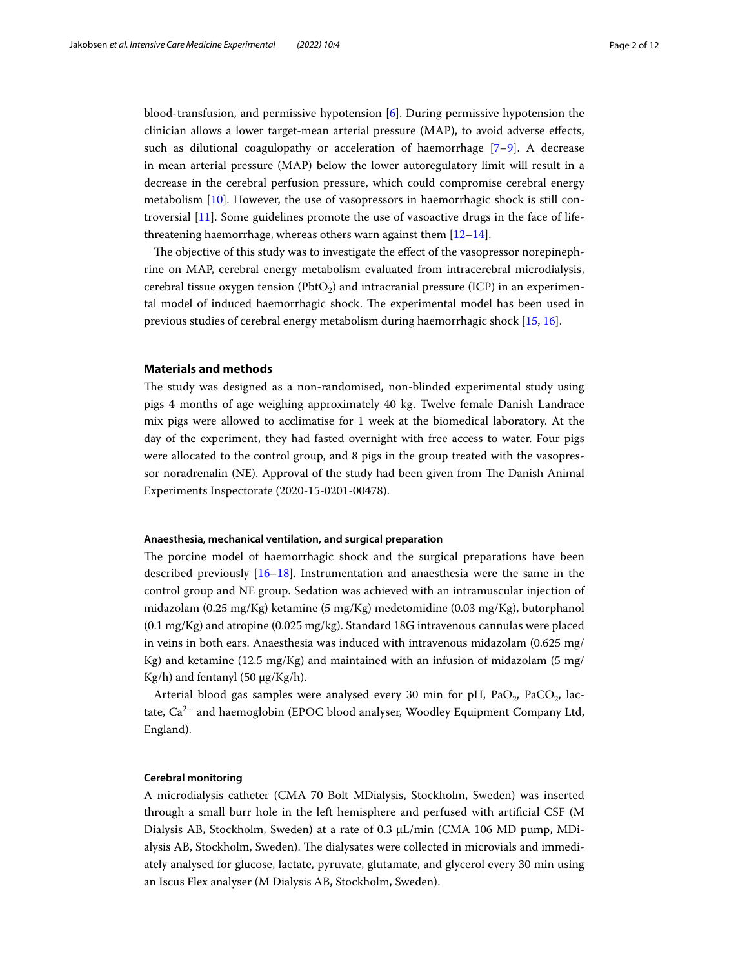blood-transfusion, and permissive hypotension [\[6](#page-10-2)]. During permissive hypotension the clinician allows a lower target-mean arterial pressure (MAP), to avoid adverse efects, such as dilutional coagulopathy or acceleration of haemorrhage [[7–](#page-10-3)[9](#page-10-4)]. A decrease in mean arterial pressure (MAP) below the lower autoregulatory limit will result in a decrease in the cerebral perfusion pressure, which could compromise cerebral energy metabolism [\[10](#page-10-5)]. However, the use of vasopressors in haemorrhagic shock is still controversial [\[11](#page-10-6)]. Some guidelines promote the use of vasoactive drugs in the face of lifethreatening haemorrhage, whereas others warn against them [[12](#page-10-7)[–14](#page-10-8)].

The objective of this study was to investigate the effect of the vasopressor norepinephrine on MAP, cerebral energy metabolism evaluated from intracerebral microdialysis, cerebral tissue oxygen tension ( $Pb_2$ ) and intracranial pressure (ICP) in an experimental model of induced haemorrhagic shock. The experimental model has been used in previous studies of cerebral energy metabolism during haemorrhagic shock [[15](#page-10-9), [16\]](#page-10-10).

## **Materials and methods**

The study was designed as a non-randomised, non-blinded experimental study using pigs 4 months of age weighing approximately 40 kg. Twelve female Danish Landrace mix pigs were allowed to acclimatise for 1 week at the biomedical laboratory. At the day of the experiment, they had fasted overnight with free access to water. Four pigs were allocated to the control group, and 8 pigs in the group treated with the vasopressor noradrenalin (NE). Approval of the study had been given from The Danish Animal Experiments Inspectorate (2020-15-0201-00478).

## **Anaesthesia, mechanical ventilation, and surgical preparation**

The porcine model of haemorrhagic shock and the surgical preparations have been described previously [[16–](#page-10-10)[18](#page-10-11)]. Instrumentation and anaesthesia were the same in the control group and NE group. Sedation was achieved with an intramuscular injection of midazolam (0.25 mg/Kg) ketamine (5 mg/Kg) medetomidine (0.03 mg/Kg), butorphanol (0.1 mg/Kg) and atropine (0.025 mg/kg). Standard 18G intravenous cannulas were placed in veins in both ears. Anaesthesia was induced with intravenous midazolam (0.625 mg/ Kg) and ketamine (12.5 mg/Kg) and maintained with an infusion of midazolam (5 mg/ Kg/h) and fentanyl  $(50 \mu g/Kg/h)$ .

Arterial blood gas samples were analysed every 30 min for pH, PaO<sub>2</sub>, PaCO<sub>2</sub>, lactate,  $Ca^{2+}$  and haemoglobin (EPOC blood analyser, Woodley Equipment Company Ltd, England).

#### **Cerebral monitoring**

A microdialysis catheter (CMA 70 Bolt MDialysis, Stockholm, Sweden) was inserted through a small burr hole in the left hemisphere and perfused with artifcial CSF (M Dialysis AB, Stockholm, Sweden) at a rate of 0.3 μL/min (CMA 106 MD pump, MDialysis AB, Stockholm, Sweden). The dialysates were collected in microvials and immediately analysed for glucose, lactate, pyruvate, glutamate, and glycerol every 30 min using an Iscus Flex analyser (M Dialysis AB, Stockholm, Sweden).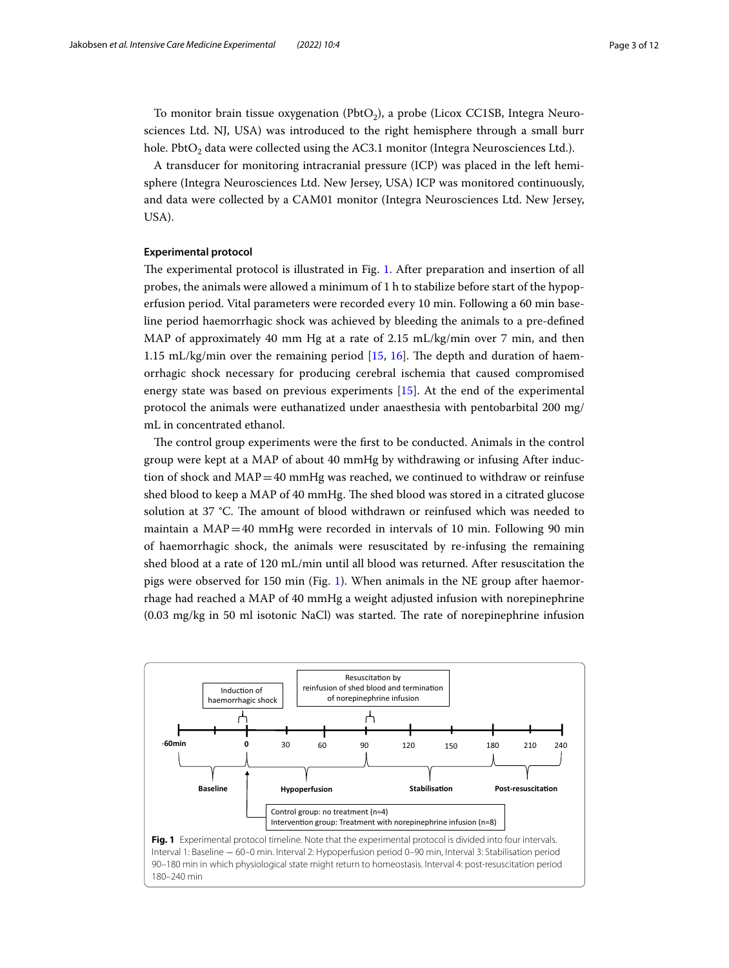To monitor brain tissue oxygenation (PbtO<sub>2</sub>), a probe (Licox CC1SB, Integra Neurosciences Ltd. NJ, USA) was introduced to the right hemisphere through a small burr hole. PbtO<sub>2</sub> data were collected using the AC3.1 monitor (Integra Neurosciences Ltd.).

A transducer for monitoring intracranial pressure (ICP) was placed in the left hemisphere (Integra Neurosciences Ltd. New Jersey, USA) ICP was monitored continuously, and data were collected by a CAM01 monitor (Integra Neurosciences Ltd. New Jersey, USA).

## **Experimental protocol**

The experimental protocol is illustrated in Fig. [1](#page-2-0). After preparation and insertion of all probes, the animals were allowed a minimum of 1 h to stabilize before start of the hypoperfusion period. Vital parameters were recorded every 10 min. Following a 60 min baseline period haemorrhagic shock was achieved by bleeding the animals to a pre-defned MAP of approximately 40 mm Hg at a rate of 2.15  $mL/kg/min$  over 7 min, and then 1.15 mL/kg/min over the remaining period  $[15, 16]$  $[15, 16]$  $[15, 16]$  $[15, 16]$ . The depth and duration of haemorrhagic shock necessary for producing cerebral ischemia that caused compromised energy state was based on previous experiments [[15\]](#page-10-9). At the end of the experimental protocol the animals were euthanatized under anaesthesia with pentobarbital 200 mg/ mL in concentrated ethanol.

The control group experiments were the first to be conducted. Animals in the control group were kept at a MAP of about 40 mmHg by withdrawing or infusing After induction of shock and  $MAP=40$  mmHg was reached, we continued to withdraw or reinfuse shed blood to keep a MAP of 40 mmHg. The shed blood was stored in a citrated glucose solution at 37 °C. The amount of blood withdrawn or reinfused which was needed to maintain a  $MAP=40$  mmHg were recorded in intervals of 10 min. Following 90 min of haemorrhagic shock, the animals were resuscitated by re-infusing the remaining shed blood at a rate of 120 mL/min until all blood was returned. After resuscitation the pigs were observed for 150 min (Fig. [1](#page-2-0)). When animals in the NE group after haemorrhage had reached a MAP of 40 mmHg a weight adjusted infusion with norepinephrine  $(0.03 \text{ mg/kg} \text{ in } 50 \text{ ml}$  isotonic NaCl) was started. The rate of norepinephrine infusion

<span id="page-2-0"></span>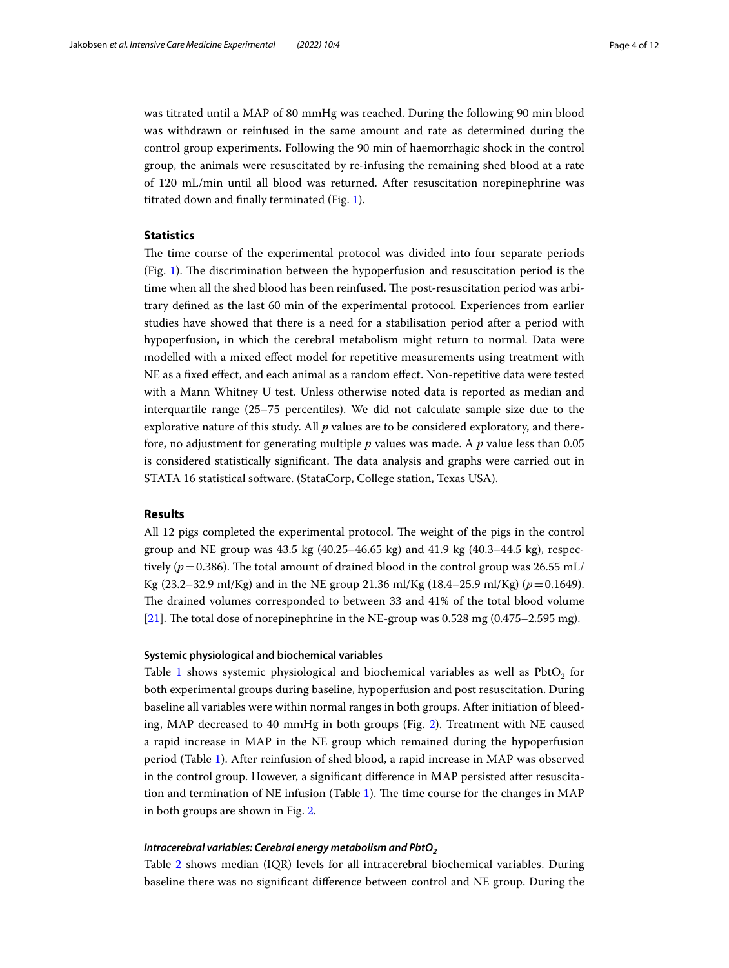was titrated until a MAP of 80 mmHg was reached. During the following 90 min blood was withdrawn or reinfused in the same amount and rate as determined during the control group experiments. Following the 90 min of haemorrhagic shock in the control group, the animals were resuscitated by re-infusing the remaining shed blood at a rate of 120 mL/min until all blood was returned. After resuscitation norepinephrine was titrated down and fnally terminated (Fig. [1\)](#page-2-0).

## **Statistics**

The time course of the experimental protocol was divided into four separate periods (Fig. [1\)](#page-2-0). The discrimination between the hypoperfusion and resuscitation period is the time when all the shed blood has been reinfused. The post-resuscitation period was arbitrary defned as the last 60 min of the experimental protocol. Experiences from earlier studies have showed that there is a need for a stabilisation period after a period with hypoperfusion, in which the cerebral metabolism might return to normal. Data were modelled with a mixed efect model for repetitive measurements using treatment with NE as a fxed efect, and each animal as a random efect. Non-repetitive data were tested with a Mann Whitney U test. Unless otherwise noted data is reported as median and interquartile range (25–75 percentiles). We did not calculate sample size due to the explorative nature of this study. All *p* values are to be considered exploratory, and therefore, no adjustment for generating multiple *p* values was made. A *p* value less than 0.05 is considered statistically significant. The data analysis and graphs were carried out in STATA 16 statistical software. (StataCorp, College station, Texas USA).

## **Results**

All 12 pigs completed the experimental protocol. The weight of the pigs in the control group and NE group was  $43.5 \text{ kg}$  (40.25–46.65 kg) and  $41.9 \text{ kg}$  (40.3–44.5 kg), respectively ( $p = 0.386$ ). The total amount of drained blood in the control group was 26.55 mL/ Kg (23.2–32.9 ml/Kg) and in the NE group 21.36 ml/Kg (18.4–25.9 ml/Kg) ( $p=0.1649$ ). The drained volumes corresponded to between 33 and 41% of the total blood volume [[21\]](#page-10-12). The total dose of norepinephrine in the NE-group was  $0.528$  mg  $(0.475-2.595$  mg).

## **Systemic physiological and biochemical variables**

Table [1](#page-4-0) shows systemic physiological and biochemical variables as well as  $PbtO<sub>2</sub>$  for both experimental groups during baseline, hypoperfusion and post resuscitation. During baseline all variables were within normal ranges in both groups. After initiation of bleeding, MAP decreased to 40 mmHg in both groups (Fig. [2\)](#page-5-0). Treatment with NE caused a rapid increase in MAP in the NE group which remained during the hypoperfusion period (Table [1\)](#page-4-0). After reinfusion of shed blood, a rapid increase in MAP was observed in the control group. However, a signifcant diference in MAP persisted after resuscita-tion and termination of NE infusion (Table [1](#page-4-0)). The time course for the changes in MAP in both groups are shown in Fig. [2](#page-5-0).

## *Intracerebral variables: Cerebral energy metabolism and PbtO<sub>2</sub>*

Table [2](#page-5-1) shows median (IQR) levels for all intracerebral biochemical variables. During baseline there was no signifcant diference between control and NE group. During the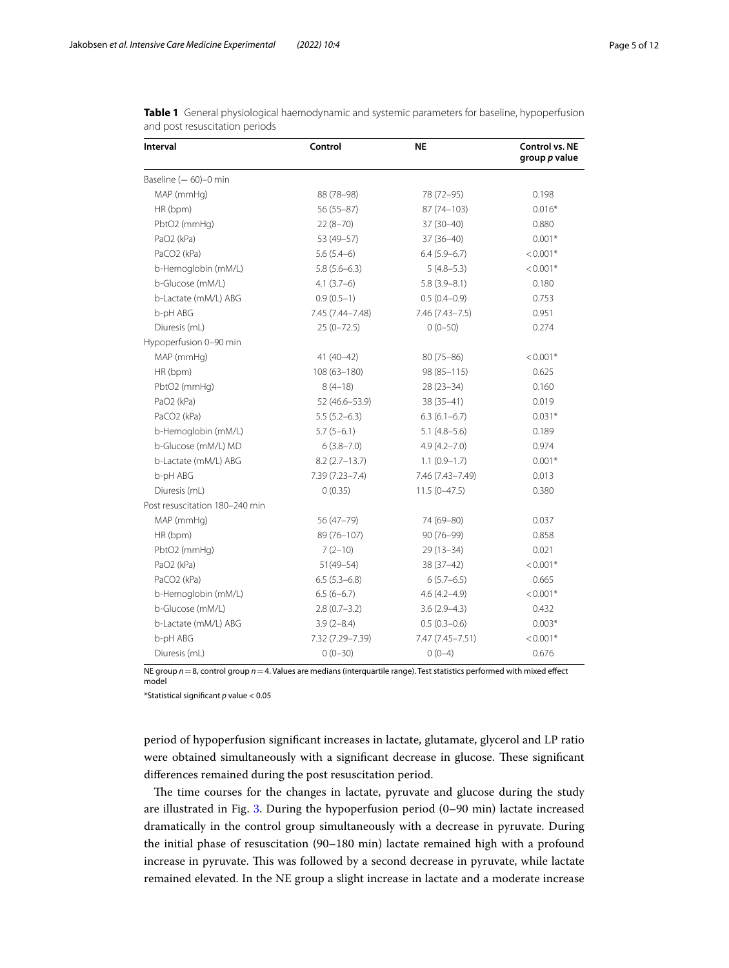| <b>Interval</b>                | Control          | <b>NE</b>        | Control vs. NE<br>group p value |
|--------------------------------|------------------|------------------|---------------------------------|
| Baseline $(-60)-0$ min         |                  |                  |                                 |
| MAP (mmHg)                     | 88 (78-98)       | 78 (72-95)       | 0.198                           |
| HR (bpm)                       | $56(55-87)$      | 87 (74-103)      | $0.016*$                        |
| PbtO2 (mmHg)                   | $22(8-70)$       | $37(30-40)$      | 0.880                           |
| PaO2 (kPa)                     | 53 (49-57)       | $37(36-40)$      | $0.001*$                        |
| PaCO2 (kPa)                    | $5.6(5.4-6)$     | $6.4(5.9-6.7)$   | $< 0.001*$                      |
| b-Hemoglobin (mM/L)            | $5.8(5.6-6.3)$   | $5(4.8 - 5.3)$   | $< 0.001*$                      |
| b-Glucose (mM/L)               | $4.1(3.7-6)$     | $5.8(3.9 - 8.1)$ | 0.180                           |
| b-Lactate (mM/L) ABG           | $0.9(0.5-1)$     | $0.5(0.4-0.9)$   | 0.753                           |
| b-pH ABG                       | 7.45 (7.44-7.48) | 7.46 (7.43-7.5)  | 0.951                           |
| Diuresis (mL)                  | $25(0 - 72.5)$   | $0(0-50)$        | 0.274                           |
| Hypoperfusion 0-90 min         |                  |                  |                                 |
| MAP (mmHg)                     | $41(40-42)$      | $80(75 - 86)$    | $< 0.001*$                      |
| HR (bpm)                       | $108(63 - 180)$  | 98 (85-115)      | 0.625                           |
| PbtO2 (mmHg)                   | $8(4-18)$        | $28(23-34)$      | 0.160                           |
| PaO2 (kPa)                     | 52 (46.6-53.9)   | $38(35 - 41)$    | 0.019                           |
| PaCO2 (kPa)                    | $5.5(5.2-6.3)$   | $6.3(6.1-6.7)$   | $0.031*$                        |
| b-Hemoglobin (mM/L)            | $5.7(5-6.1)$     | $5.1(4.8-5.6)$   | 0.189                           |
| b-Glucose (mM/L) MD            | $6(3.8 - 7.0)$   | $4.9(4.2 - 7.0)$ | 0.974                           |
| b-Lactate (mM/L) ABG           | $8.2(2.7-13.7)$  | $1.1(0.9-1.7)$   | $0.001*$                        |
| b-pH ABG                       | 7.39 (7.23-7.4)  | 7.46 (7.43-7.49) | 0.013                           |
| Diuresis (mL)                  | 0(0.35)          | $11.5(0-47.5)$   | 0.380                           |
| Post resuscitation 180-240 min |                  |                  |                                 |
| MAP (mmHg)                     | 56 (47-79)       | 74 (69-80)       | 0.037                           |
| HR (bpm)                       | 89 (76-107)      | 90 (76-99)       | 0.858                           |
| PbtO2 (mmHg)                   | $7(2-10)$        | $29(13-34)$      | 0.021                           |
| PaO2 (kPa)                     | $51(49 - 54)$    | $38(37-42)$      | $< 0.001*$                      |
| PaCO2 (kPa)                    | $6.5(5.3-6.8)$   | $6(5.7-6.5)$     | 0.665                           |
| b-Hemoglobin (mM/L)            | $6.5(6-6.7)$     | $4.6(4.2 - 4.9)$ | $< 0.001*$                      |
| b-Glucose (mM/L)               | $2.8(0.7-3.2)$   | $3.6(2.9 - 4.3)$ | 0.432                           |
| b-Lactate (mM/L) ABG           | $3.9(2 - 8.4)$   | $0.5(0.3-0.6)$   | $0.003*$                        |
| b-pH ABG                       | 7.32 (7.29-7.39) | 7.47 (7.45-7.51) | $< 0.001*$                      |
| Diuresis (mL)                  | $0(0-30)$        | $0(0-4)$         | 0.676                           |

<span id="page-4-0"></span>**Table 1** General physiological haemodynamic and systemic parameters for baseline, hypoperfusion and post resuscitation periods

NE group *n*=8, control group *n*=4. Values are medians (interquartile range). Test statistics performed with mixed efect model

\*Statistical signifcant *p* value < 0.05

period of hypoperfusion signifcant increases in lactate, glutamate, glycerol and LP ratio were obtained simultaneously with a significant decrease in glucose. These significant diferences remained during the post resuscitation period.

The time courses for the changes in lactate, pyruvate and glucose during the study are illustrated in Fig. [3](#page-6-0). During the hypoperfusion period (0–90 min) lactate increased dramatically in the control group simultaneously with a decrease in pyruvate. During the initial phase of resuscitation (90–180 min) lactate remained high with a profound increase in pyruvate. This was followed by a second decrease in pyruvate, while lactate remained elevated. In the NE group a slight increase in lactate and a moderate increase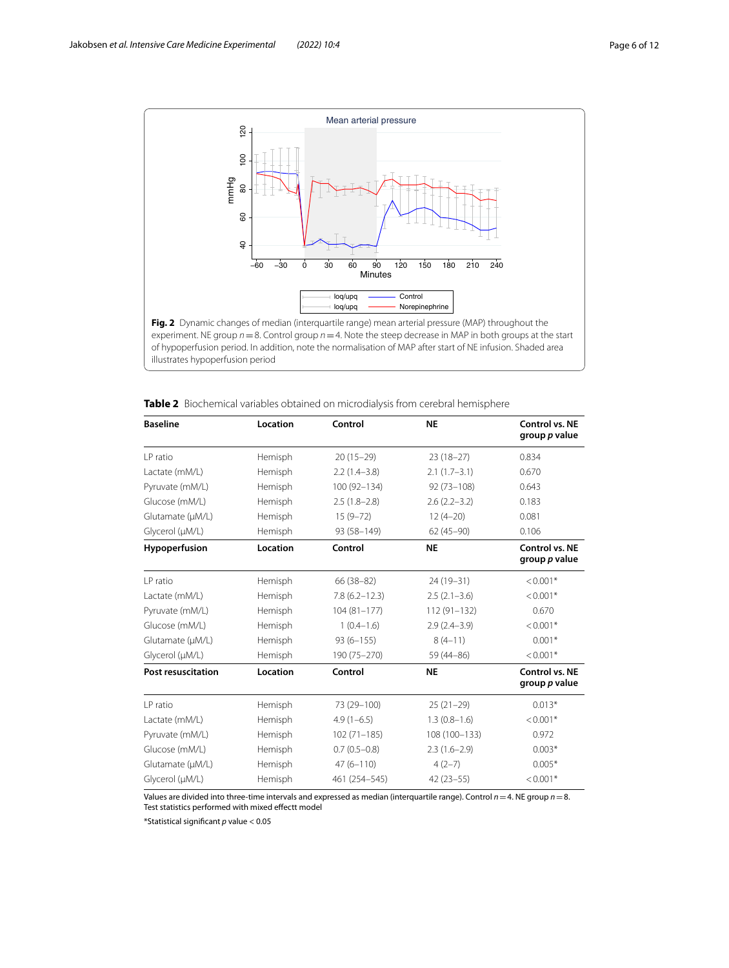

<span id="page-5-0"></span>experiment. NE group *n*=8. Control group *n*=4. Note the steep decrease in MAP in both groups at the start of hypoperfusion period. In addition, note the normalisation of MAP after start of NE infusion. Shaded area illustrates hypoperfusion period

| <b>Baseline</b>           | Location | Control           | <b>NE</b>        | Control vs. NE<br>group p value |
|---------------------------|----------|-------------------|------------------|---------------------------------|
| I P ratio                 | Hemisph  | $20(15-29)$       | $23(18-27)$      | 0.834                           |
| Lactate (mM/L)            | Hemisph  | $2.2(1.4-3.8)$    | $2.1(1.7-3.1)$   | 0.670                           |
| Pyruvate (mM/L)           | Hemisph  | 100 (92-134)      | $92(73 - 108)$   | 0.643                           |
| Glucose (mM/L)            | Hemisph  | $2.5(1.8-2.8)$    | $2.6(2.2 - 3.2)$ | 0.183                           |
| Glutamate (µM/L)          | Hemisph  | $15(9 - 72)$      | $12(4-20)$       | 0.081                           |
| Glycerol (µM/L)           | Hemisph  | 93 (58-149)       | $62(45-90)$      | 0.106                           |
| Hypoperfusion             | Location | Control           | <b>NE</b>        | Control vs. NE<br>group p value |
| I P ratio                 | Hemisph  | $66(38-82)$       | $24(19-31)$      | $< 0.001*$                      |
| Lactate (mM/L)            | Hemisph  | $7.8(6.2 - 12.3)$ | $2.5(2.1-3.6)$   | $< 0.001*$                      |
| Pyruvate (mM/L)           | Hemisph  | $104(81 - 177)$   | $112(91 - 132)$  | 0.670                           |
| Glucose (mM/L)            | Hemisph  | $1(0.4-1.6)$      | $2.9(2.4-3.9)$   | $< 0.001*$                      |
| Glutamate (µM/L)          | Hemisph  | $93(6 - 155)$     | $8(4-11)$        | $0.001*$                        |
| Glycerol (µM/L)           | Hemisph  | 190 (75-270)      | 59 (44-86)       | $< 0.001*$                      |
| <b>Post resuscitation</b> | Location | Control           | <b>NE</b>        | Control vs. NE<br>group p value |
| I P ratio                 | Hemisph  | 73 (29-100)       | $25(21-29)$      | $0.013*$                        |
| Lactate (mM/L)            | Hemisph  | $4.9(1-6.5)$      | $1.3(0.8-1.6)$   | $< 0.001*$                      |
| Pyruvate (mM/L)           | Hemisph  | $102(71 - 185)$   | 108 (100-133)    | 0.972                           |
| Glucose (mM/L)            | Hemisph  | $0.7(0.5 - 0.8)$  | $2.3(1.6-2.9)$   | $0.003*$                        |
| Glutamate (µM/L)          | Hemisph  | $47(6 - 110)$     | $4(2-7)$         | $0.005*$                        |
| Glycerol (µM/L)           | Hemisph  | 461 (254-545)     | $42(23-55)$      | $< 0.001*$                      |

<span id="page-5-1"></span>

| <b>Table 2</b> Biochemical variables obtained on microdialysis from cerebral hemisphere |  |
|-----------------------------------------------------------------------------------------|--|
|-----------------------------------------------------------------------------------------|--|

Values are divided into three-time intervals and expressed as median (interquartile range). Control *n*=4. NE group *n*=8. Test statistics performed with mixed efectt model

\*Statistical signifcant *p* value < 0.05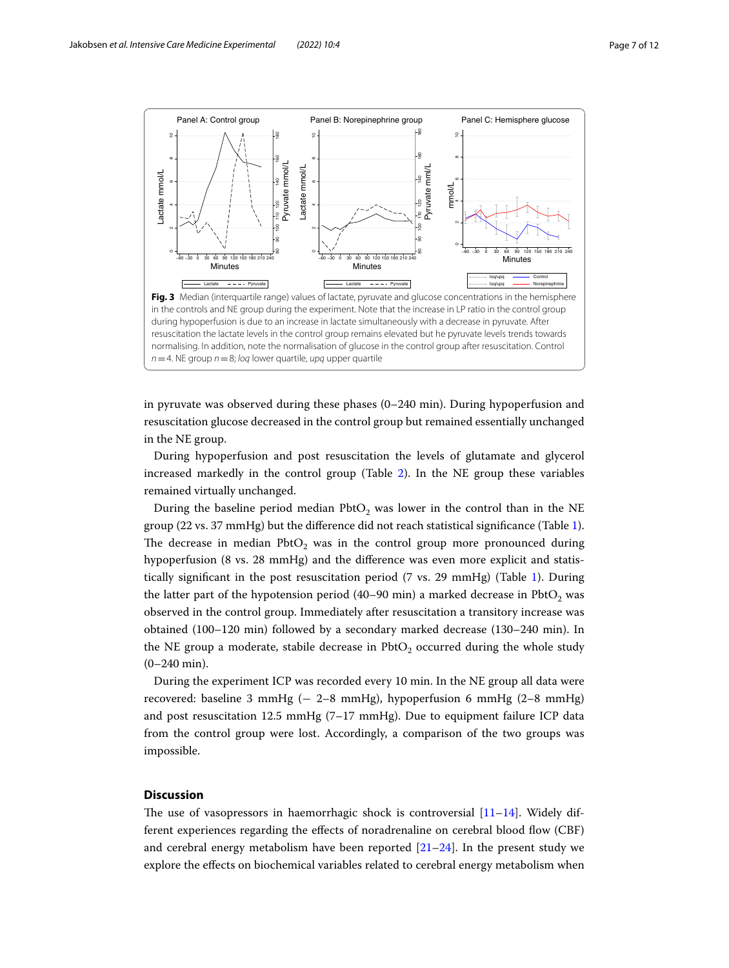

<span id="page-6-0"></span>in pyruvate was observed during these phases (0–240 min). During hypoperfusion and resuscitation glucose decreased in the control group but remained essentially unchanged in the NE group.

During hypoperfusion and post resuscitation the levels of glutamate and glycerol increased markedly in the control group (Table [2](#page-5-1)). In the NE group these variables remained virtually unchanged.

During the baseline period median  $Pb$ t $O<sub>2</sub>$  was lower in the control than in the NE group (22 vs. 37 mmHg) but the diference did not reach statistical signifcance (Table [1](#page-4-0)). The decrease in median  $Pb$ t $O<sub>2</sub>$  was in the control group more pronounced during hypoperfusion (8 vs. 28 mmHg) and the diference was even more explicit and statistically significant in the post resuscitation period  $(7 \text{ vs. } 29 \text{ mmHg})$  (Table [1](#page-4-0)). During the latter part of the hypotension period (40–90 min) a marked decrease in  $PbtO<sub>2</sub>$  was observed in the control group. Immediately after resuscitation a transitory increase was obtained (100–120 min) followed by a secondary marked decrease (130–240 min). In the NE group a moderate, stabile decrease in  $PbtO<sub>2</sub>$  occurred during the whole study (0–240 min).

During the experiment ICP was recorded every 10 min. In the NE group all data were recovered: baseline 3 mmHg (− 2–8 mmHg), hypoperfusion 6 mmHg (2–8 mmHg) and post resuscitation 12.5 mmHg  $(7-17 \text{ mmHg})$ . Due to equipment failure ICP data from the control group were lost. Accordingly, a comparison of the two groups was impossible.

## **Discussion**

The use of vasopressors in haemorrhagic shock is controversial  $[11-14]$  $[11-14]$ . Widely different experiences regarding the efects of noradrenaline on cerebral blood fow (CBF) and cerebral energy metabolism have been reported  $[21-24]$  $[21-24]$ . In the present study we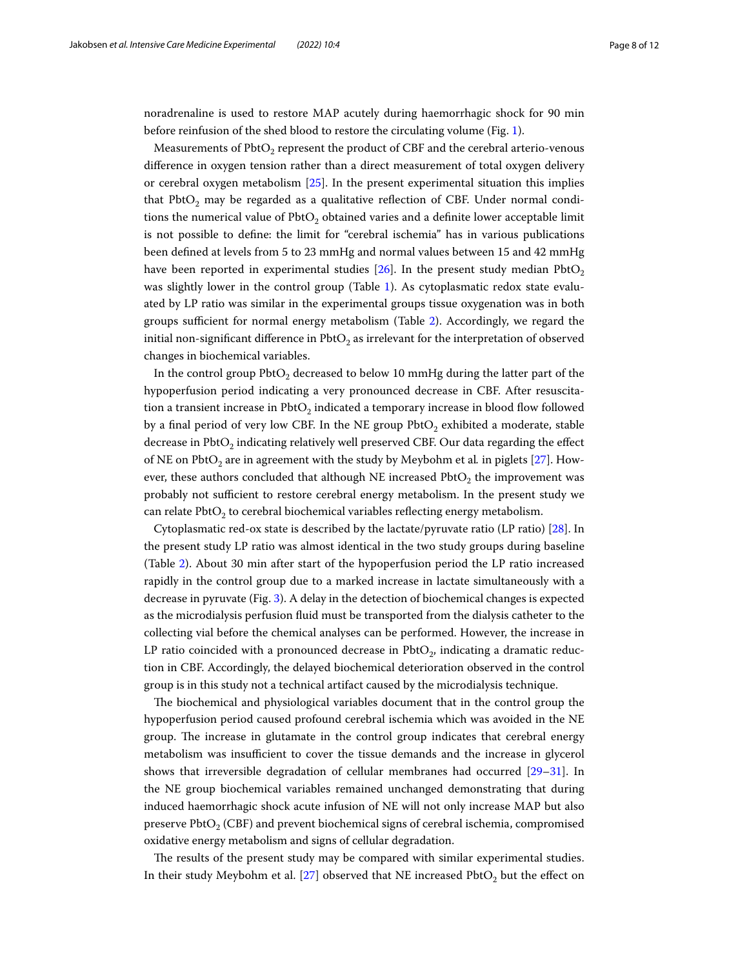noradrenaline is used to restore MAP acutely during haemorrhagic shock for 90 min before reinfusion of the shed blood to restore the circulating volume (Fig. [1](#page-2-0)).

Measurements of PbtO<sub>2</sub> represent the product of CBF and the cerebral arterio-venous diference in oxygen tension rather than a direct measurement of total oxygen delivery or cerebral oxygen metabolism [[25\]](#page-11-0). In the present experimental situation this implies that PbtO<sub>2</sub> may be regarded as a qualitative reflection of CBF. Under normal conditions the numerical value of  $Pb$ tO<sub>2</sub> obtained varies and a definite lower acceptable limit is not possible to defne: the limit for "cerebral ischemia" has in various publications been defned at levels from 5 to 23 mmHg and normal values between 15 and 42 mmHg have been reported in experimental studies  $[26]$  $[26]$ . In the present study median PbtO<sub>2</sub> was slightly lower in the control group (Table [1\)](#page-4-0). As cytoplasmatic redox state evaluated by LP ratio was similar in the experimental groups tissue oxygenation was in both groups sufficient for normal energy metabolism (Table [2\)](#page-5-1). Accordingly, we regard the initial non-significant difference in  $Pb$ t $O<sub>2</sub>$  as irrelevant for the interpretation of observed changes in biochemical variables.

In the control group  $Pb$ t $O<sub>2</sub>$  decreased to below 10 mmHg during the latter part of the hypoperfusion period indicating a very pronounced decrease in CBF. After resuscitation a transient increase in  $Pb$ t $O<sub>2</sub>$  indicated a temporary increase in blood flow followed by a final period of very low CBF. In the NE group  $Pb$ t $O<sub>2</sub>$  exhibited a moderate, stable decrease in  $Pb$ t $O<sub>2</sub>$  indicating relatively well preserved CBF. Our data regarding the effect of NE on PbtO<sub>2</sub> are in agreement with the study by Meybohm et al. in piglets [[27\]](#page-11-2). However, these authors concluded that although NE increased  $PbtO<sub>2</sub>$  the improvement was probably not sufficient to restore cerebral energy metabolism. In the present study we can relate PbtO<sub>2</sub> to cerebral biochemical variables reflecting energy metabolism.

Cytoplasmatic red-ox state is described by the lactate/pyruvate ratio (LP ratio) [\[28](#page-11-3)]. In the present study LP ratio was almost identical in the two study groups during baseline (Table [2](#page-5-1)). About 30 min after start of the hypoperfusion period the LP ratio increased rapidly in the control group due to a marked increase in lactate simultaneously with a decrease in pyruvate (Fig. [3\)](#page-6-0). A delay in the detection of biochemical changes is expected as the microdialysis perfusion fuid must be transported from the dialysis catheter to the collecting vial before the chemical analyses can be performed. However, the increase in LP ratio coincided with a pronounced decrease in  $Pb$ tO<sub>2</sub>, indicating a dramatic reduction in CBF. Accordingly, the delayed biochemical deterioration observed in the control group is in this study not a technical artifact caused by the microdialysis technique.

The biochemical and physiological variables document that in the control group the hypoperfusion period caused profound cerebral ischemia which was avoided in the NE group. The increase in glutamate in the control group indicates that cerebral energy metabolism was insufficient to cover the tissue demands and the increase in glycerol shows that irreversible degradation of cellular membranes had occurred [[29](#page-11-4)[–31](#page-11-5)]. In the NE group biochemical variables remained unchanged demonstrating that during induced haemorrhagic shock acute infusion of NE will not only increase MAP but also preserve PbtO<sub>2</sub> (CBF) and prevent biochemical signs of cerebral ischemia, compromised oxidative energy metabolism and signs of cellular degradation.

The results of the present study may be compared with similar experimental studies. In their study Meybohm et al. [[27\]](#page-11-2) observed that NE increased  $PbtO<sub>2</sub>$  but the effect on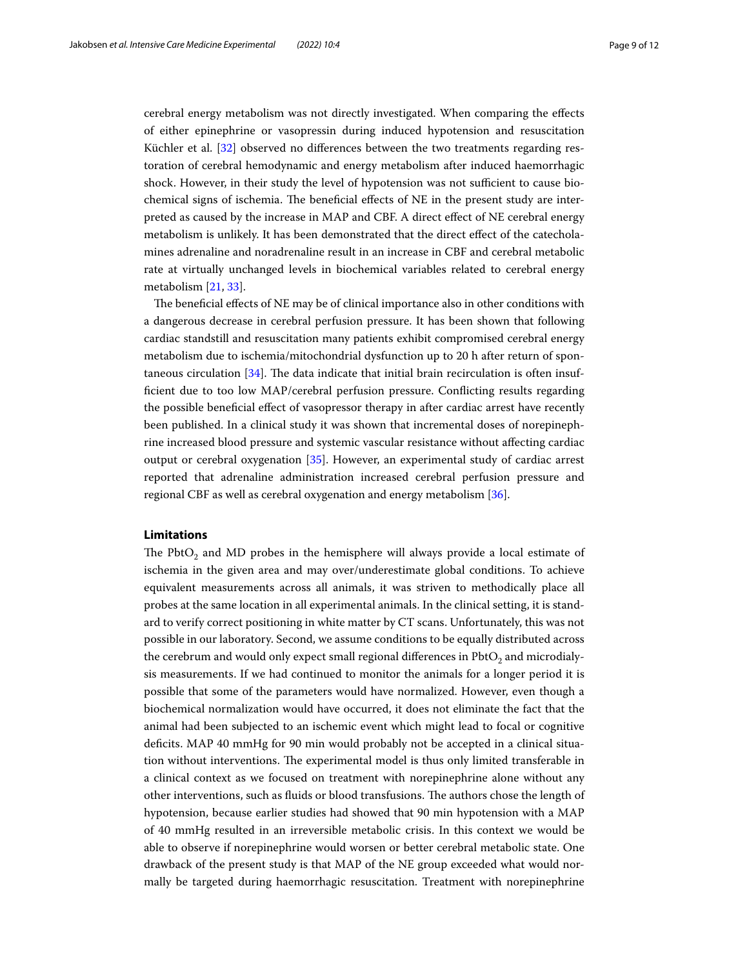cerebral energy metabolism was not directly investigated. When comparing the efects of either epinephrine or vasopressin during induced hypotension and resuscitation Küchler et al. [\[32](#page-11-6)] observed no diferences between the two treatments regarding restoration of cerebral hemodynamic and energy metabolism after induced haemorrhagic shock. However, in their study the level of hypotension was not sufficient to cause biochemical signs of ischemia. The beneficial effects of NE in the present study are interpreted as caused by the increase in MAP and CBF. A direct efect of NE cerebral energy metabolism is unlikely. It has been demonstrated that the direct efect of the catecholamines adrenaline and noradrenaline result in an increase in CBF and cerebral metabolic rate at virtually unchanged levels in biochemical variables related to cerebral energy metabolism [\[21](#page-10-12), [33](#page-11-7)].

The beneficial effects of NE may be of clinical importance also in other conditions with a dangerous decrease in cerebral perfusion pressure. It has been shown that following cardiac standstill and resuscitation many patients exhibit compromised cerebral energy metabolism due to ischemia/mitochondrial dysfunction up to 20 h after return of spontaneous circulation  $[34]$  $[34]$ . The data indicate that initial brain recirculation is often insuffcient due to too low MAP/cerebral perfusion pressure. Conficting results regarding the possible benefcial efect of vasopressor therapy in after cardiac arrest have recently been published. In a clinical study it was shown that incremental doses of norepinephrine increased blood pressure and systemic vascular resistance without afecting cardiac output or cerebral oxygenation [\[35](#page-11-9)]. However, an experimental study of cardiac arrest reported that adrenaline administration increased cerebral perfusion pressure and regional CBF as well as cerebral oxygenation and energy metabolism [[36](#page-11-10)].

## **Limitations**

The PbtO<sub>2</sub> and MD probes in the hemisphere will always provide a local estimate of ischemia in the given area and may over/underestimate global conditions. To achieve equivalent measurements across all animals, it was striven to methodically place all probes at the same location in all experimental animals. In the clinical setting, it is standard to verify correct positioning in white matter by CT scans. Unfortunately, this was not possible in our laboratory. Second, we assume conditions to be equally distributed across the cerebrum and would only expect small regional differences in  $Pb<sub>t</sub>O<sub>2</sub>$  and microdialysis measurements. If we had continued to monitor the animals for a longer period it is possible that some of the parameters would have normalized. However, even though a biochemical normalization would have occurred, it does not eliminate the fact that the animal had been subjected to an ischemic event which might lead to focal or cognitive defcits. MAP 40 mmHg for 90 min would probably not be accepted in a clinical situation without interventions. The experimental model is thus only limited transferable in a clinical context as we focused on treatment with norepinephrine alone without any other interventions, such as fluids or blood transfusions. The authors chose the length of hypotension, because earlier studies had showed that 90 min hypotension with a MAP of 40 mmHg resulted in an irreversible metabolic crisis. In this context we would be able to observe if norepinephrine would worsen or better cerebral metabolic state. One drawback of the present study is that MAP of the NE group exceeded what would normally be targeted during haemorrhagic resuscitation. Treatment with norepinephrine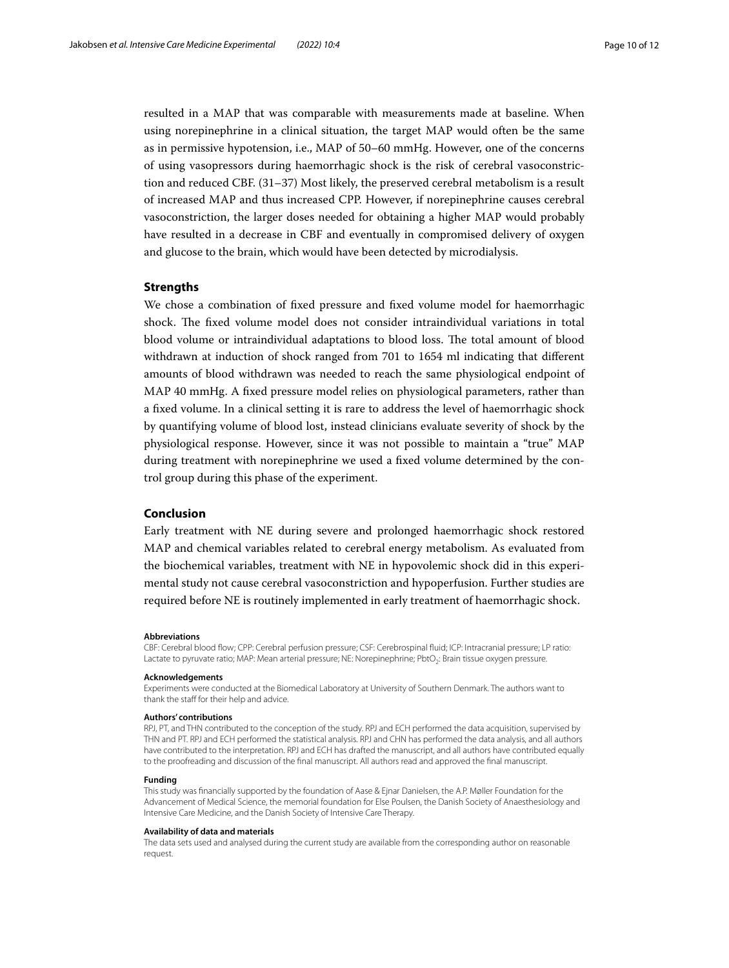resulted in a MAP that was comparable with measurements made at baseline. When using norepinephrine in a clinical situation, the target MAP would often be the same as in permissive hypotension, i.e., MAP of 50–60 mmHg. However, one of the concerns of using vasopressors during haemorrhagic shock is the risk of cerebral vasoconstriction and reduced CBF. (31–37) Most likely, the preserved cerebral metabolism is a result of increased MAP and thus increased CPP. However, if norepinephrine causes cerebral vasoconstriction, the larger doses needed for obtaining a higher MAP would probably have resulted in a decrease in CBF and eventually in compromised delivery of oxygen and glucose to the brain, which would have been detected by microdialysis.

## **Strengths**

We chose a combination of fxed pressure and fxed volume model for haemorrhagic shock. The fixed volume model does not consider intraindividual variations in total blood volume or intraindividual adaptations to blood loss. The total amount of blood withdrawn at induction of shock ranged from 701 to 1654 ml indicating that diferent amounts of blood withdrawn was needed to reach the same physiological endpoint of MAP 40 mmHg. A fxed pressure model relies on physiological parameters, rather than a fxed volume. In a clinical setting it is rare to address the level of haemorrhagic shock by quantifying volume of blood lost, instead clinicians evaluate severity of shock by the physiological response. However, since it was not possible to maintain a "true" MAP during treatment with norepinephrine we used a fxed volume determined by the control group during this phase of the experiment.

## **Conclusion**

Early treatment with NE during severe and prolonged haemorrhagic shock restored MAP and chemical variables related to cerebral energy metabolism. As evaluated from the biochemical variables, treatment with NE in hypovolemic shock did in this experimental study not cause cerebral vasoconstriction and hypoperfusion. Further studies are required before NE is routinely implemented in early treatment of haemorrhagic shock.

#### **Abbreviations**

CBF: Cerebral blood fow; CPP: Cerebral perfusion pressure; CSF: Cerebrospinal fuid; ICP: Intracranial pressure; LP ratio: Lactate to pyruvate ratio; MAP: Mean arterial pressure; NE: Norepinephrine; PbtO<sub>2</sub>: Brain tissue oxygen pressure.

#### **Acknowledgements**

Experiments were conducted at the Biomedical Laboratory at University of Southern Denmark. The authors want to thank the staff for their help and advice.

#### **Authors' contributions**

RPJ, PT, and THN contributed to the conception of the study. RPJ and ECH performed the data acquisition, supervised by THN and PT. RPJ and ECH performed the statistical analysis. RPJ and CHN has performed the data analysis, and all authors have contributed to the interpretation. RPJ and ECH has drafted the manuscript, and all authors have contributed equally to the proofreading and discussion of the fnal manuscript. All authors read and approved the fnal manuscript.

## **Funding**

This study was fnancially supported by the foundation of Aase & Ejnar Danielsen, the A.P. Møller Foundation for the Advancement of Medical Science, the memorial foundation for Else Poulsen, the Danish Society of Anaesthesiology and Intensive Care Medicine, and the Danish Society of Intensive Care Therapy.

#### **Availability of data and materials**

The data sets used and analysed during the current study are available from the corresponding author on reasonable request.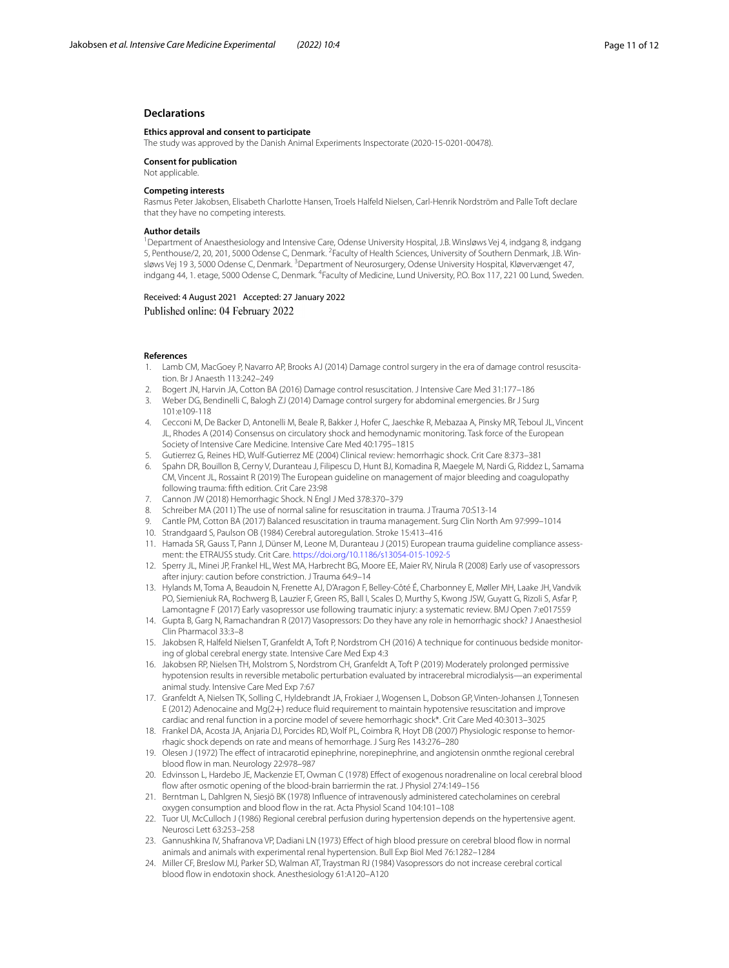### **Declarations**

## **Ethics approval and consent to participate**

The study was approved by the Danish Animal Experiments Inspectorate (2020-15-0201-00478).

**Consent for publication**

## Not applicable.

## **Competing interests**

Rasmus Peter Jakobsen, Elisabeth Charlotte Hansen, Troels Halfeld Nielsen, Carl-Henrik Nordström and Palle Toft declare that they have no competing interests.

#### **Author details**

<sup>1</sup> Department of Anaesthesiology and Intensive Care, Odense University Hospital, J.B. Winsløws Vej 4, indgang 8, indgang 5, Penthouse/2, 20, 201, 5000 Odense C, Denmark. <sup>2</sup> Faculty of Health Sciences, University of Southern Denmark, J.B. Winsløws Vej 193, 5000 Odense C, Denmark. <sup>3</sup>Department of Neurosurgery, Odense University Hospital, Kløvervænget 47, indgang 44, 1. etage, 5000 Odense C, Denmark. <sup>4</sup>Faculty of Medicine, Lund University, P.O. Box 117, 221 00 Lund, Sweden.

## Received: 4 August 2021 Accepted: 27 January 2022 Published online: 04 February 2022

#### **References**

- <span id="page-10-0"></span>1. Lamb CM, MacGoey P, Navarro AP, Brooks AJ (2014) Damage control surgery in the era of damage control resuscitation. Br J Anaesth 113:242–249
- 2. Bogert JN, Harvin JA, Cotton BA (2016) Damage control resuscitation. J Intensive Care Med 31:177–186
- 3. Weber DG, Bendinelli C, Balogh ZJ (2014) Damage control surgery for abdominal emergencies. Br J Surg 101:e109-118
- 4. Cecconi M, De Backer D, Antonelli M, Beale R, Bakker J, Hofer C, Jaeschke R, Mebazaa A, Pinsky MR, Teboul JL, Vincent JL, Rhodes A (2014) Consensus on circulatory shock and hemodynamic monitoring. Task force of the European Society of Intensive Care Medicine. Intensive Care Med 40:1795–1815
- <span id="page-10-1"></span>5. Gutierrez G, Reines HD, Wulf-Gutierrez ME (2004) Clinical review: hemorrhagic shock. Crit Care 8:373–381
- <span id="page-10-2"></span>6. Spahn DR, Bouillon B, Cerny V, Duranteau J, Filipescu D, Hunt BJ, Komadina R, Maegele M, Nardi G, Riddez L, Samama CM, Vincent JL, Rossaint R (2019) The European guideline on management of major bleeding and coagulopathy following trauma: ffth edition. Crit Care 23:98
- <span id="page-10-3"></span>7. Cannon JW (2018) Hemorrhagic Shock. N Engl J Med 378:370–379
- 8. Schreiber MA (2011) The use of normal saline for resuscitation in trauma. J Trauma 70:S13-14
- <span id="page-10-4"></span>9. Cantle PM, Cotton BA (2017) Balanced resuscitation in trauma management. Surg Clin North Am 97:999–1014
- <span id="page-10-5"></span>10. Strandgaard S, Paulson OB (1984) Cerebral autoregulation. Stroke 15:413–416
- <span id="page-10-6"></span>11. Hamada SR, Gauss T, Pann J, Dünser M, Leone M, Duranteau J (2015) European trauma guideline compliance assessment: the ETRAUSS study. Crit Care.<https://doi.org/10.1186/s13054-015-1092-5>
- <span id="page-10-7"></span>12. Sperry JL, Minei JP, Frankel HL, West MA, Harbrecht BG, Moore EE, Maier RV, Nirula R (2008) Early use of vasopressors after injury: caution before constriction. J Trauma 64:9–14
- 13. Hylands M, Toma A, Beaudoin N, Frenette AJ, D'Aragon F, Belley-Côté É, Charbonney E, Møller MH, Laake JH, Vandvik PO, Siemieniuk RA, Rochwerg B, Lauzier F, Green RS, Ball I, Scales D, Murthy S, Kwong JSW, Guyatt G, Rizoli S, Asfar P, Lamontagne F (2017) Early vasopressor use following traumatic injury: a systematic review. BMJ Open 7:e017559
- <span id="page-10-8"></span>14. Gupta B, Garg N, Ramachandran R (2017) Vasopressors: Do they have any role in hemorrhagic shock? J Anaesthesiol Clin Pharmacol 33:3–8
- <span id="page-10-9"></span>15. Jakobsen R, Halfeld Nielsen T, Granfeldt A, Toft P, Nordstrom CH (2016) A technique for continuous bedside monitor‑ ing of global cerebral energy state. Intensive Care Med Exp 4:3
- <span id="page-10-10"></span>16. Jakobsen RP, Nielsen TH, Molstrom S, Nordstrom CH, Granfeldt A, Toft P (2019) Moderately prolonged permissive hypotension results in reversible metabolic perturbation evaluated by intracerebral microdialysis—an experimental animal study. Intensive Care Med Exp 7:67
- 17. Granfeldt A, Nielsen TK, Solling C, Hyldebrandt JA, Frokiaer J, Wogensen L, Dobson GP, Vinten-Johansen J, Tonnesen E (2012) Adenocaine and Mg(2+) reduce fuid requirement to maintain hypotensive resuscitation and improve cardiac and renal function in a porcine model of severe hemorrhagic shock\*. Crit Care Med 40:3013–3025
- <span id="page-10-11"></span>18. Frankel DA, Acosta JA, Anjaria DJ, Porcides RD, Wolf PL, Coimbra R, Hoyt DB (2007) Physiologic response to hemorrhagic shock depends on rate and means of hemorrhage. J Surg Res 143:276–280
- 19. Olesen J (1972) The efect of intracarotid epinephrine, norepinephrine, and angiotensin onmthe regional cerebral blood fow in man. Neurology 22:978–987
- 20. Edvinsson L, Hardebo JE, Mackenzie ET, Owman C (1978) Efect of exogenous noradrenaline on local cerebral blood fow after osmotic opening of the blood-brain barriermin the rat. J Physiol 274:149–156
- <span id="page-10-12"></span>21. Berntman L, Dahlgren N, Siesjö BK (1978) Infuence of intravenously administered catecholamines on cerebral oxygen consumption and blood flow in the rat. Acta Physiol Scand 104:101-108
- 22. Tuor UI, McCulloch J (1986) Regional cerebral perfusion during hypertension depends on the hypertensive agent. Neurosci Lett 63:253–258
- 23. Gannushkina IV, Shafranova VP, Dadiani LN (1973) Efect of high blood pressure on cerebral blood fow in normal animals and animals with experimental renal hypertension. Bull Exp Biol Med 76:1282–1284
- <span id="page-10-13"></span>24. Miller CF, Breslow MJ, Parker SD, Walman AT, Traystman RJ (1984) Vasopressors do not increase cerebral cortical blood flow in endotoxin shock. Anesthesiology 61:A120-A120